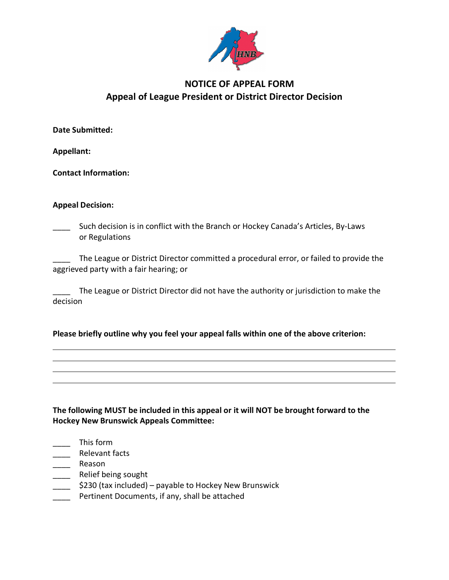

# **NOTICE OF APPEAL FORM Appeal of League President or District Director Decision**

**Date Submitted:**

**Appellant:**

**Contact Information:**

## **Appeal Decision:**

\_\_\_\_ Such decision is in conflict with the Branch or Hockey Canada's Articles, By-Laws or Regulations

The League or District Director committed a procedural error, or failed to provide the aggrieved party with a fair hearing; or

The League or District Director did not have the authority or jurisdiction to make the decision

## **Please briefly outline why you feel your appeal falls within one of the above criterion:**

**The following MUST be included in this appeal or it will NOT be brought forward to the Hockey New Brunswick Appeals Committee:**

- \_\_\_\_ This form
- \_\_\_\_ Relevant facts
- \_\_\_\_ Reason
- \_\_\_\_\_ Relief being sought
- \_\_\_\_ \$230 (tax included) payable to Hockey New Brunswick
- **Pertinent Documents, if any, shall be attached**